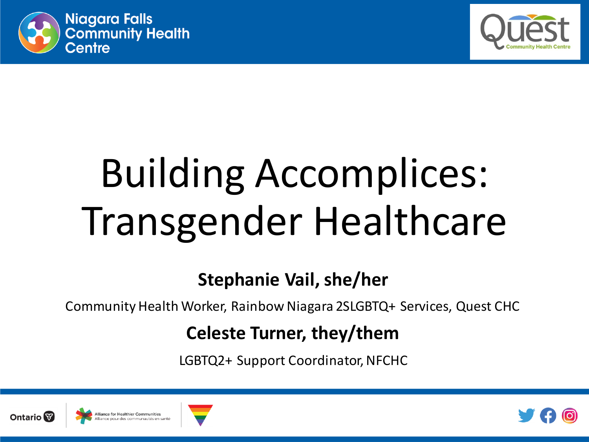



# Building Accomplices: Transgender Healthcare

#### **Stephanie Vail, she/her**

Community Health Worker, Rainbow Niagara 2SLGBTQ+ Services, Quest CHC

#### **Celeste Turner, they/them**

LGBTQ2+ Support Coordinator, NFCHC







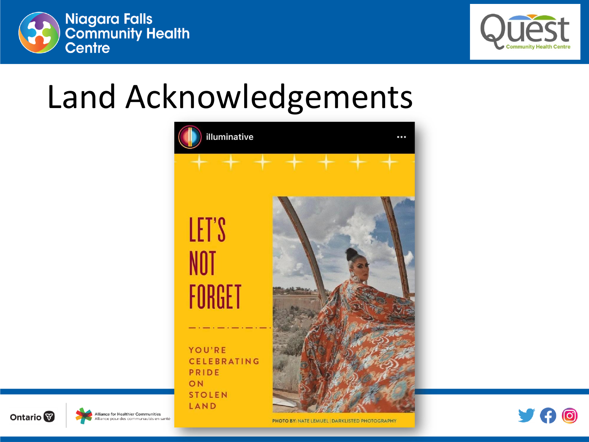



## Land Acknowledgements







**PHOTO BY: NATE LEMUEL DARKLISTED PHOTOGRAPHY**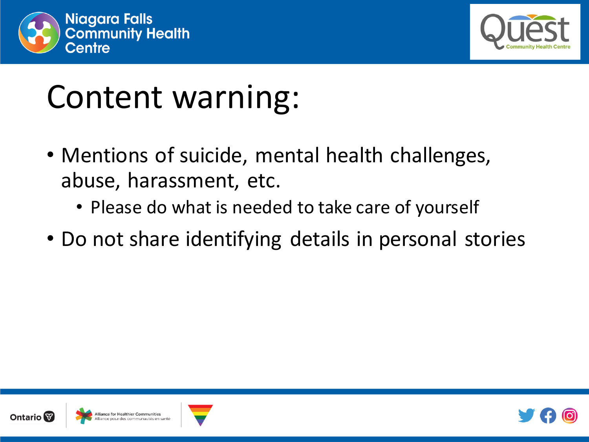



## Content warning:

- Mentions of suicide, mental health challenges, abuse, harassment, etc.
	- Please do what is needed to take care of yourself
- Do not share identifying details in personal stories





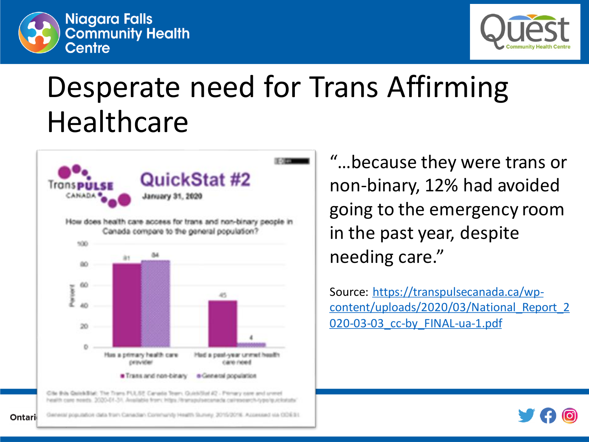



### Desperate need for Trans Affirming **Healthcare**



"…because they were trans or non-binary, 12% had avoided going to the emergency room in the past year, despite needing care."

Source: https://transpulsecanada.ca/wp[content/uploads/2020/03/National\\_Report\\_2](https://transpulsecanada.ca/wp-content/uploads/2020/03/National_Report_2020-03-03_cc-by_FINAL-ua-1.pdf) 020-03-03\_cc-by\_FINAL-ua-1.pdf



General population data tran-Canadian Corenanty Health Sunney, 2015/2016. Accessed via OD6 31 Ontario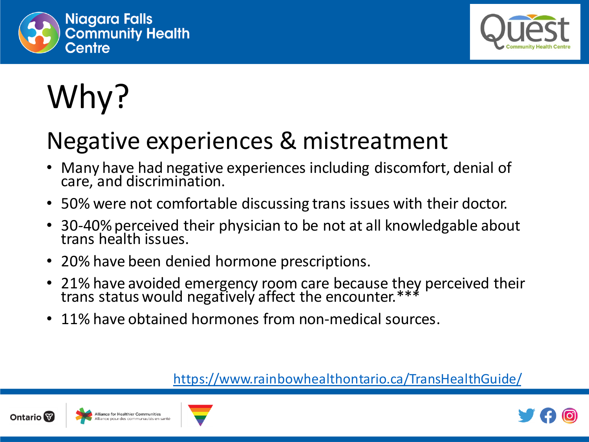



## Why?

### Negative experiences & mistreatment

- Many have had negative experiences including discomfort, denial of care, and discrimination.
- 50% were not comfortable discussing trans issues with their doctor.
- 30-40% perceived their physician to be not at all knowledgable about trans health issues.
- 20% have been denied hormone prescriptions.
- 21% have avoided emergency room care because they perceived their trans status would negatively affect the encounter.\*\*\*
- 11% have obtained hormones from non-medical sources.

<https://www.rainbowhealthontario.ca/TransHealthGuide/>







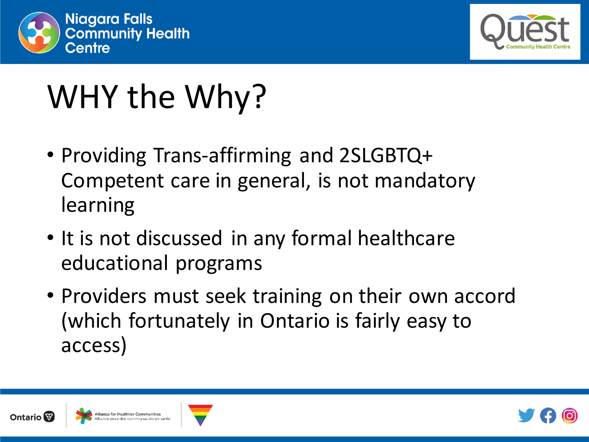



## WHY the Why?

- Providing Trans-affirming and 2SLGBTQ+ Competent care in general, is not mandatory learning
- It is not discussed in any formal healthcare educational programs
- Providers must seek training on their own accord (which fortunately in Ontario is fairly easy to access)





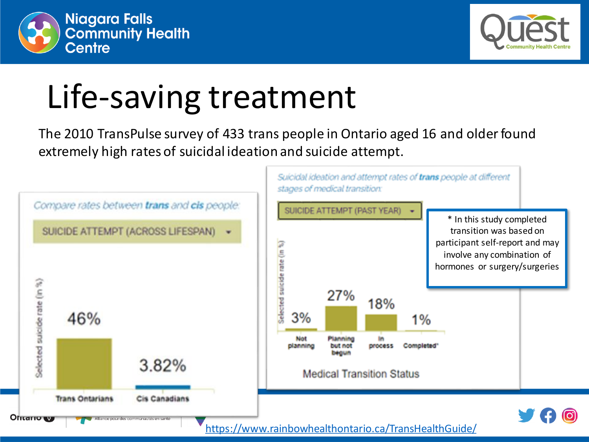



## Life-saving treatment

The 2010 TransPulse survey of 433 trans people in Ontario aged 16 and older found extremely high rates of suicidal ideation and suicide attempt.

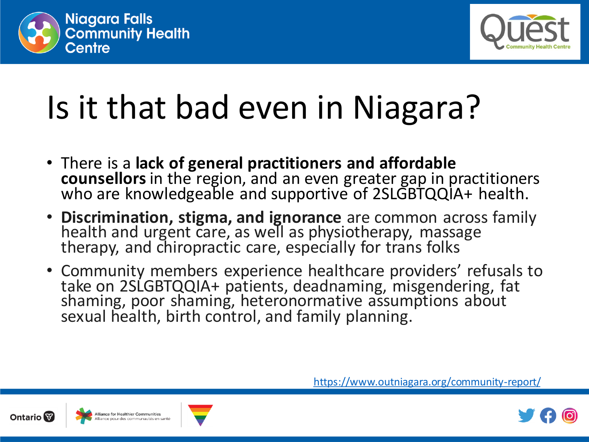



- There is a **lack of general practitioners and affordable counsellors** in the region, and an even greater gap in practitioners who are knowledgeable and supportive of 2SLGBTQQIA+ health.
- **Discrimination, stigma, and ignorance** are common across family health and urgent care, as well as physiotherapy, massage therapy, and chiropractic care, especially for trans folks
- Community members experience healthcare providers' refusals to take on 2SLGBTQQIA+ patients, deadnaming, misgendering, fat shaming, poor shaming, heteronormative assumptions about sexual health, birth control, and family planning.





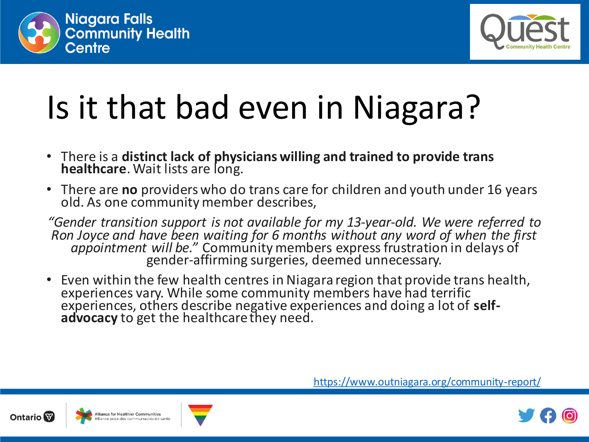



- There is a **distinct lack of physicians willing and trained to provide trans healthcare**. Wait lists are long.
- There are **no** providers who do trans care for children and youth under 16 years old. As one community member describes,

*"Gender transition support is not available for my 13-year-old. We were referred to Ron Joyce and have been waiting for 6 months without any word of when the first appointment will be."* Community members express frustration in delays of gender-affirming surgeries, deemed unnecessary.

• Even within the few health centres in Niagara region that provide trans health, experiences vary. While some community members have had terrific experiences, others describe negative experiences and doing a lot of **selfadvocacy** to get the healthcare they need.





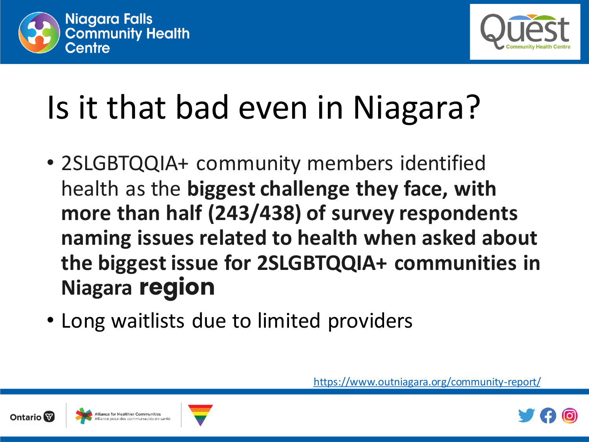



- 2SLGBTQQIA+ community members identified health as the **biggest challenge they face, with more than half (243/438) of survey respondents naming issues related to health when asked about the biggest issue for 2SLGBTQQIA+ communities in Niagara region**
- Long waitlists due to limited providers





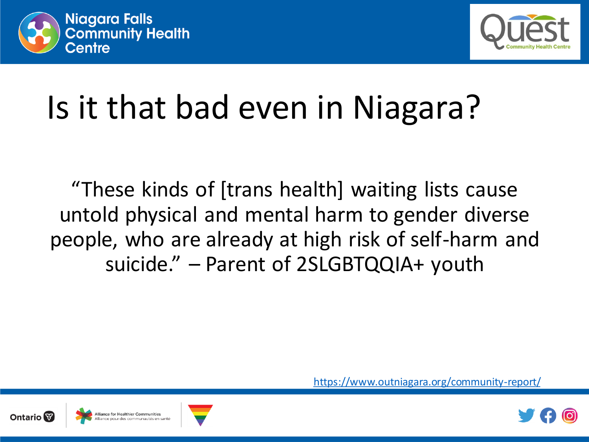



"These kinds of [trans health] waiting lists cause untold physical and mental harm to gender diverse people, who are already at high risk of self-harm and suicide." – Parent of 2SLGBTQQIA+ youth





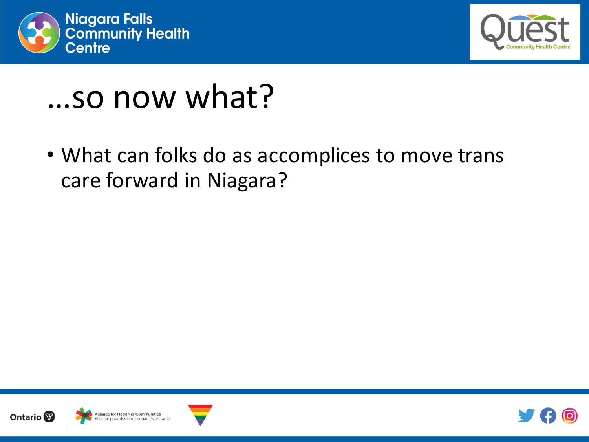



### …so now what?

• What can folks do as accomplices to move trans care forward in Niagara?







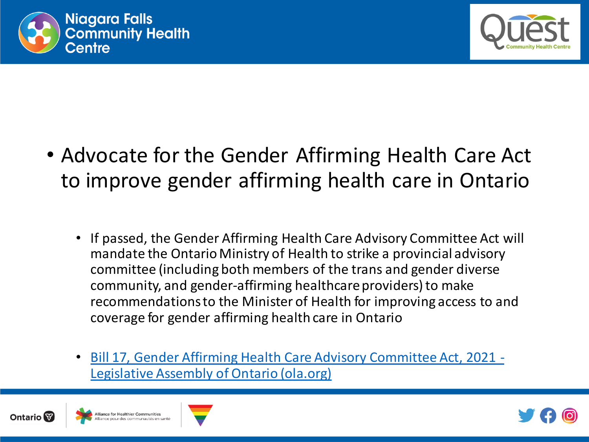



- Advocate for the Gender Affirming Health Care Act to improve gender affirming health care in Ontario
	- If passed, the Gender Affirming Health Care Advisory Committee Act will mandate the Ontario Ministry of Health to strike a provincial advisory committee (including both members of the trans and gender diverse community, and gender-affirming healthcare providers) to make recommendations to the Minister of Health for improving access to and coverage for gender affirming health care in Ontario
	- [Bill 17, Gender Affirming Health Care Advisory Committee Act, 2021 -](https://www.ola.org/en/legislative-business/bills/parliament-42/session-2/bill-17) Legislative Assembly of Ontario (ola.org)







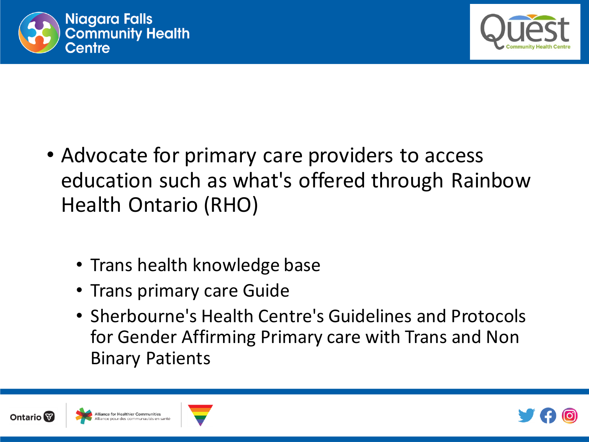



- Advocate for primary care providers to access education such as what's offered through Rainbow Health Ontario (RHO)
	- Trans health knowledge base
	- Trans primary care Guide
	- Sherbourne's Health Centre's Guidelines and Protocols for Gender Affirming Primary care with Trans and Non Binary Patients





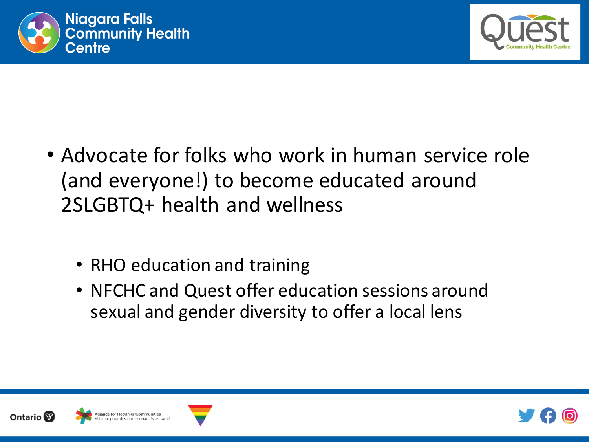



- Advocate for folks who work in human service role (and everyone!) to become educated around 2SLGBTQ+ health and wellness
	- RHO education and training
	- NFCHC and Quest offer education sessions around sexual and gender diversity to offer a local lens